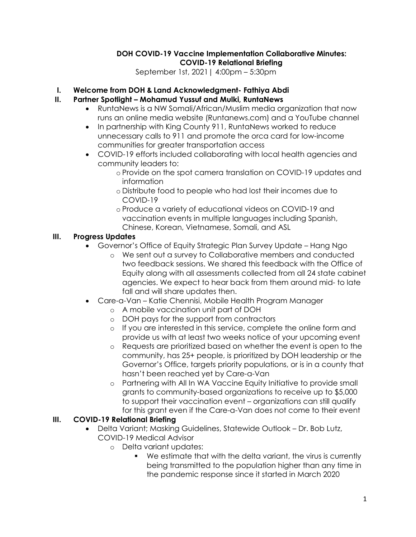#### DOH COVID-19 Vaccine Implementation Collaborative Minutes: COVID-19 Relational Briefing

September 1st, 2021| 4:00pm – 5:30pm

# I. Welcome from DOH & Land Acknowledgment- Fathiya Abdi

# II. Partner Spotlight – Mohamud Yussuf and Mulki, RuntaNews

- RuntaNews is a NW Somali/African/Muslim media organization that now runs an online media website (Runtanews.com) and a YouTube channel
- In partnership with King County 911, RuntaNews worked to reduce unnecessary calls to 911 and promote the orca card for low-income communities for greater transportation access
- COVID-19 efforts included collaborating with local health agencies and community leaders to:
	- o Provide on the spot camera translation on COVID-19 updates and information
	- o Distribute food to people who had lost their incomes due to COVID-19
	- o Produce a variety of educational videos on COVID-19 and vaccination events in multiple languages including Spanish, Chinese, Korean, Vietnamese, Somali, and ASL

### III. Progress Updates

- Governor's Office of Equity Strategic Plan Survey Update Hang Ngo
	- o We sent out a survey to Collaborative members and conducted two feedback sessions. We shared this feedback with the Office of Equity along with all assessments collected from all 24 state cabinet agencies. We expect to hear back from them around mid- to late fall and will share updates then.
- Care-a-Van Katie Chennisi, Mobile Health Program Manager
	- o A mobile vaccination unit part of DOH
		- o DOH pays for the support from contractors
		- o If you are interested in this service, complete the online form and provide us with at least two weeks notice of your upcoming event
		- o Requests are prioritized based on whether the event is open to the community, has 25+ people, is prioritized by DOH leadership or the Governor's Office, targets priority populations, or is in a county that hasn't been reached yet by Care-a-Van
		- o Partnering with All In WA Vaccine Equity Initiative to provide small grants to community-based organizations to receive up to \$5,000 to support their vaccination event – organizations can still qualify for this grant even if the Care-a-Van does not come to their event

### III. COVID-19 Relational Briefing

- Delta Variant; Masking Guidelines, Statewide Outlook Dr. Bob Lutz, COVID-19 Medical Advisor
	- o Delta variant updates:
		- We estimate that with the delta variant, the virus is currently being transmitted to the population higher than any time in the pandemic response since it started in March 2020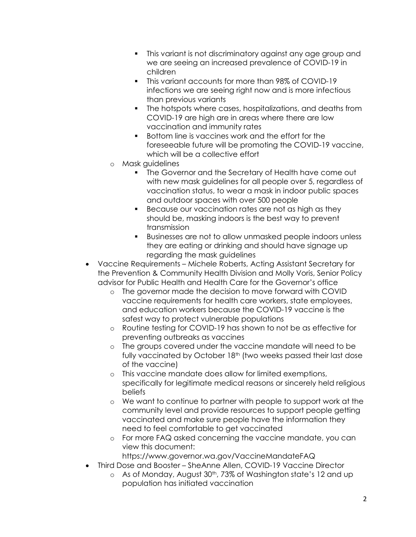- This variant is not discriminatory against any age group and we are seeing an increased prevalence of COVID-19 in children
- **This variant accounts for more than 98% of COVID-19** infections we are seeing right now and is more infectious than previous variants
- The hotspots where cases, hospitalizations, and deaths from COVID-19 are high are in areas where there are low vaccination and immunity rates
- Bottom line is vaccines work and the effort for the foreseeable future will be promoting the COVID-19 vaccine, which will be a collective effort
- o Mask guidelines
	- The Governor and the Secretary of Health have come out with new mask guidelines for all people over 5, regardless of vaccination status, to wear a mask in indoor public spaces and outdoor spaces with over 500 people
	- **Because our vaccination rates are not as high as they** should be, masking indoors is the best way to prevent transmission
	- Businesses are not to allow unmasked people indoors unless they are eating or drinking and should have signage up regarding the mask guidelines
- Vaccine Requirements Michele Roberts, Acting Assistant Secretary for the Prevention & Community Health Division and Molly Voris, Senior Policy advisor for Public Health and Health Care for the Governor's office
	- o The governor made the decision to move forward with COVID vaccine requirements for health care workers, state employees, and education workers because the COVID-19 vaccine is the safest way to protect vulnerable populations
	- o Routine testing for COVID-19 has shown to not be as effective for preventing outbreaks as vaccines
	- o The groups covered under the vaccine mandate will need to be fully vaccinated by October 18<sup>th</sup> (two weeks passed their last dose of the vaccine)
	- o This vaccine mandate does allow for limited exemptions, specifically for legitimate medical reasons or sincerely held religious beliefs
	- o We want to continue to partner with people to support work at the community level and provide resources to support people getting vaccinated and make sure people have the information they need to feel comfortable to get vaccinated
	- o For more FAQ asked concerning the vaccine mandate, you can view this document:
	- https://www.governor.wa.gov/VaccineMandateFAQ
- Third Dose and Booster SheAnne Allen, COVID-19 Vaccine Director
	- o As of Monday, August 30<sup>th</sup>, 73% of Washington state's 12 and up population has initiated vaccination